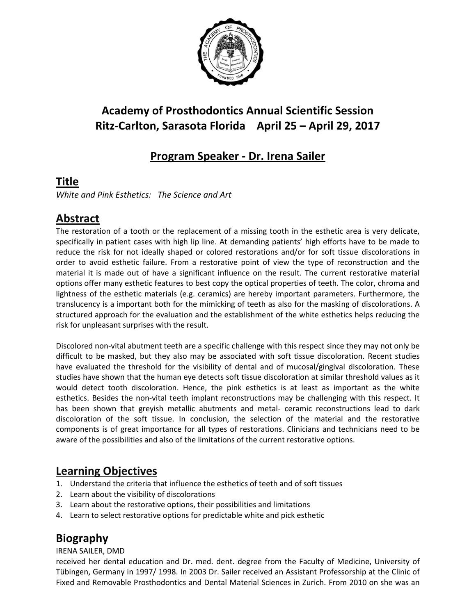

# **Academy of Prosthodontics Annual Scientific Session Ritz-Carlton, Sarasota Florida April 25 – April 29, 2017**

## **Program Speaker - Dr. Irena Sailer**

#### **Title**

*White and Pink Esthetics: The Science and Art*

## **Abstract**

The restoration of a tooth or the replacement of a missing tooth in the esthetic area is very delicate, specifically in patient cases with high lip line. At demanding patients' high efforts have to be made to reduce the risk for not ideally shaped or colored restorations and/or for soft tissue discolorations in order to avoid esthetic failure. From a restorative point of view the type of reconstruction and the material it is made out of have a significant influence on the result. The current restorative material options offer many esthetic features to best copy the optical properties of teeth. The color, chroma and lightness of the esthetic materials (e.g. ceramics) are hereby important parameters. Furthermore, the translucency is a important both for the mimicking of teeth as also for the masking of discolorations. A structured approach for the evaluation and the establishment of the white esthetics helps reducing the risk for unpleasant surprises with the result.

Discolored non-vital abutment teeth are a specific challenge with this respect since they may not only be difficult to be masked, but they also may be associated with soft tissue discoloration. Recent studies have evaluated the threshold for the visibility of dental and of mucosal/gingival discoloration. These studies have shown that the human eye detects soft tissue discoloration at similar threshold values as it would detect tooth discoloration. Hence, the pink esthetics is at least as important as the white esthetics. Besides the non-vital teeth implant reconstructions may be challenging with this respect. It has been shown that greyish metallic abutments and metal- ceramic reconstructions lead to dark discoloration of the soft tissue. In conclusion, the selection of the material and the restorative components is of great importance for all types of restorations. Clinicians and technicians need to be aware of the possibilities and also of the limitations of the current restorative options.

#### **Learning Objectives**

- 1. Understand the criteria that influence the esthetics of teeth and of soft tissues
- 2. Learn about the visibility of discolorations
- 3. Learn about the restorative options, their possibilities and limitations
- 4. Learn to select restorative options for predictable white and pick esthetic

## **Biography**

#### IRENA SAILER, DMD

received her dental education and Dr. med. dent. degree from the Faculty of Medicine, University of Tübingen, Germany in 1997/ 1998. In 2003 Dr. Sailer received an Assistant Professorship at the Clinic of Fixed and Removable Prosthodontics and Dental Material Sciences in Zurich. From 2010 on she was an